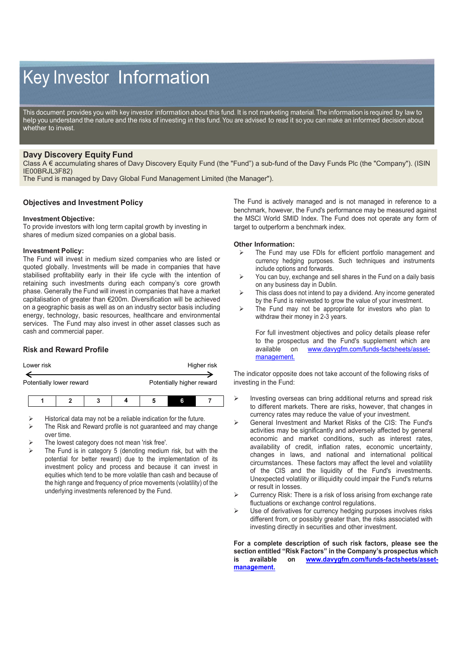# Key Investor Information

This document provides you with key investor information about this fund. It is not marketing material. The information is required by law to help you understand the nature and the risks of investing in this fund. You are advised to read it so you can make an informed decision about whether to invest.

## **Davy Discovery Equity Fund**

Class A € accumulating shares of Davy Discovery Equity Fund (the "Fund") a sub-fund of the Davy Funds Plc (the "Company"). (ISIN IE00BRJL3F82)

The Fund is managed by Davy Global Fund Management Limited (the Manager").

### **Objectives and Investment Policy**

#### **Investment Objective:**

To provide investors with long term capital growth by investing in shares of medium sized companies on a global basis.

#### **Investment Policy:**

The Fund will invest in medium sized companies who are listed or quoted globally. Investments will be made in companies that have stabilised profitability early in their life cycle with the intention of retaining such investments during each company's core growth phase. Generally the Fund will invest in companies that have a market capitalisation of greater than €200m. Diversification will be achieved on a geographic basis as well as on an industry sector basis including energy, technology, basic resources, healthcare and environmental services. The Fund may also invest in other asset classes such as cash and commercial paper.

## **Risk and Reward Profile**

| Lower risk | Higher risk |
|------------|-------------|
|            |             |

Potentially lower reward **Potentially higher reward** 

- Historical data may not be a reliable indication for the future.
- The Risk and Reward profile is not guaranteed and may change over time.
- The lowest category does not mean 'risk free'.
- The Fund is in category 5 (denoting medium risk, but with the potential for better reward) due to the implementation of its investment policy and process and because it can invest in equities which tend to be more volatile than cash and because of the high range and frequency of price movements (volatility) of the underlying investments referenced by the Fund.

The Fund is actively managed and is not managed in reference to a benchmark, however, the Fund's performance may be measured against the MSCI World SMID Index. The Fund does not operate any form of target to outperform a benchmark index.

#### **Other Information:**

- $\triangleright$  The Fund may use FDIs for efficient portfolio management and currency hedging purposes. Such techniques and instruments include options and forwards.
- $\triangleright$  You can buy, exchange and sell shares in the Fund on a daily basis on any business day in Dublin.
- $\triangleright$  This class does not intend to pay a dividend. Any income generated by the Fund is reinvested to grow the value of your investment.
- $\triangleright$  The Fund may not be appropriate for investors who plan to withdraw their money in 2-3 years.

For full investment objectives and policy details please refer to the prospectus and the Fund's supplement which are available on www.davvafm.com/funds-factsheets/asset[www.davygfm.com/funds-factsheets/asset](http://www.davygfm.com/funds-factsheets/asset-management.)[management.](http://www.davygfm.com/funds-factsheets/asset-management.)

The indicator opposite does not take account of the following risks of investing in the Fund:

- $\triangleright$  Investing overseas can bring additional returns and spread risk to different markets. There are risks, however, that changes in currency rates may reduce the value of your investment.
- General Investment and Market Risks of the CIS: The Fund's activities may be significantly and adversely affected by general economic and market conditions, such as interest rates, availability of credit, inflation rates, economic uncertainty, changes in laws, and national and international political circumstances. These factors may affect the level and volatility of the CIS and the liquidity of the Fund's investments. Unexpected volatility or illiquidity could impair the Fund's returns or result in losses.
- $\triangleright$  Currency Risk: There is a risk of loss arising from exchange rate fluctuations or exchange control regulations.
- Use of derivatives for currency hedging purposes involves risks different from, or possibly greater than, the risks associated with investing directly in securities and other investment.

**For a complete description of such risk factors, please see the section entitled "Risk Factors" in the Company's prospectus which is available on [www.davygfm.com/funds-factsheets/asset](http://www.davygfm.com/funds-factsheets/asset-management.)[management.](http://www.davygfm.com/funds-factsheets/asset-management.)**